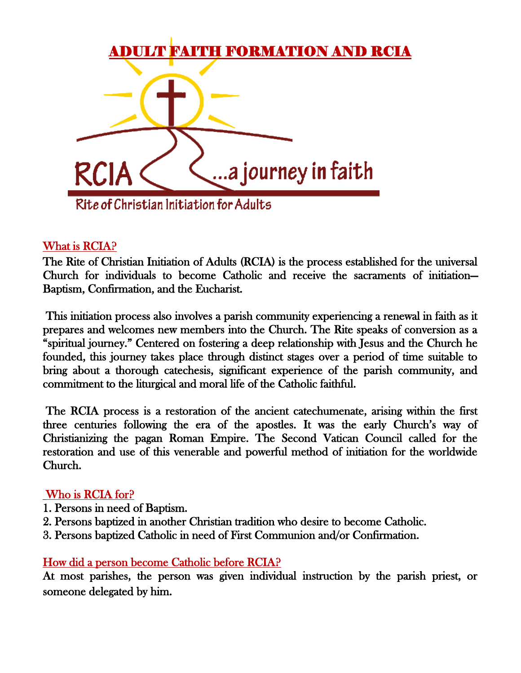

#### What is RCIA?

The Rite of Christian Initiation of Adults (RCIA) is the process established for the universal Church for individuals to become Catholic and receive the sacraments of initiation— Baptism, Confirmation, and the Eucharist.

 This initiation process also involves a parish community experiencing a renewal in faith as it prepares and welcomes new members into the Church. The Rite speaks of conversion as a "spiritual journey." Centered on fostering a deep relationship with Jesus and the Church he founded, this journey takes place through distinct stages over a period of time suitable to bring about a thorough catechesis, significant experience of the parish community, and commitment to the liturgical and moral life of the Catholic faithful.

 The RCIA process is a restoration of the ancient catechumenate, arising within the first three centuries following the era of the apostles. It was the early Church's way of Christianizing the pagan Roman Empire. The Second Vatican Council called for the restoration and use of this venerable and powerful method of initiation for the worldwide Church.

#### Who is RCIA for?

- 1. Persons in need of Baptism.
- 2. Persons baptized in another Christian tradition who desire to become Catholic.
- 3. Persons baptized Catholic in need of First Communion and/or Confirmation.

#### How did a person become Catholic before RCIA?

At most parishes, the person was given individual instruction by the parish priest, or someone delegated by him.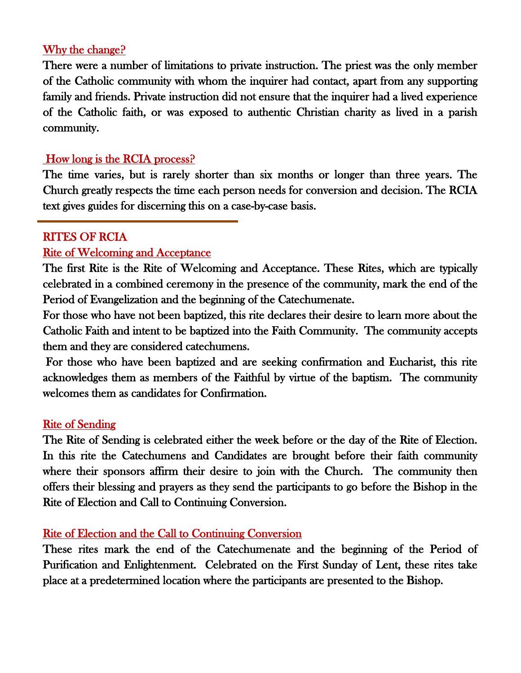### Why the change?

There were a number of limitations to private instruction. The priest was the only member of the Catholic community with whom the inquirer had contact, apart from any supporting family and friends. Private instruction did not ensure that the inquirer had a lived experience of the Catholic faith, or was exposed to authentic Christian charity as lived in a parish community.

### How long is the RCIA process?

The time varies, but is rarely shorter than six months or longer than three years. The Church greatly respects the time each person needs for conversion and decision. The RCIA text gives guides for discerning this on a case-by-case basis.

### RITES OF RCIA

 $\overline{a}$ 

#### Rite of Welcoming and Acceptance

The first Rite is the Rite of Welcoming and Acceptance. These Rites, which are typically celebrated in a combined ceremony in the presence of the community, mark the end of the Period of Evangelization and the beginning of the Catechumenate.

For those who have not been baptized, this rite declares their desire to learn more about the Catholic Faith and intent to be baptized into the Faith Community. The community accepts them and they are considered catechumens.

 For those who have been baptized and are seeking confirmation and Eucharist, this rite acknowledges them as members of the Faithful by virtue of the baptism. The community welcomes them as candidates for Confirmation.

#### Rite of Sending

The Rite of Sending is celebrated either the week before or the day of the Rite of Election. In this rite the Catechumens and Candidates are brought before their faith community where their sponsors affirm their desire to join with the Church. The community then offers their blessing and prayers as they send the participants to go before the Bishop in the Rite of Election and Call to Continuing Conversion.

#### Rite of Election and the Call to Continuing Conversion

These rites mark the end of the Catechumenate and the beginning of the Period of Purification and Enlightenment. Celebrated on the First Sunday of Lent, these rites take place at a predetermined location where the participants are presented to the Bishop.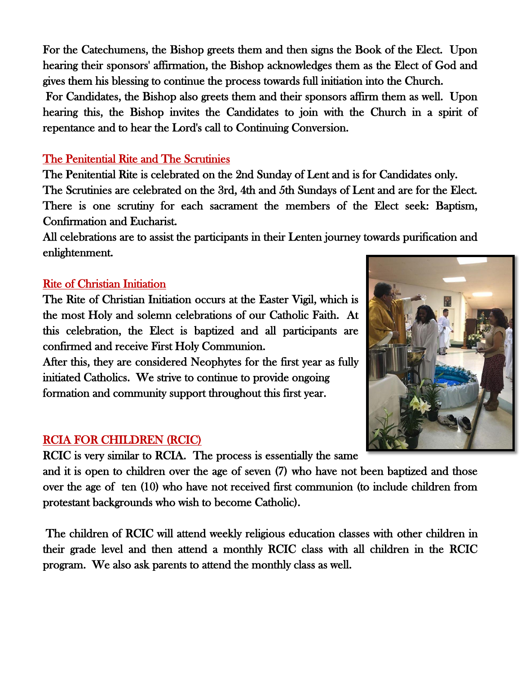For the Catechumens, the Bishop greets them and then signs the Book of the Elect. Upon hearing their sponsors' affirmation, the Bishop acknowledges them as the Elect of God and gives them his blessing to continue the process towards full initiation into the Church.

 For Candidates, the Bishop also greets them and their sponsors affirm them as well. Upon hearing this, the Bishop invites the Candidates to join with the Church in a spirit of repentance and to hear the Lord's call to Continuing Conversion.

## The Penitential Rite and The Scrutinies

The Penitential Rite is celebrated on the 2nd Sunday of Lent and is for Candidates only. The Scrutinies are celebrated on the 3rd, 4th and 5th Sundays of Lent and are for the Elect. There is one scrutiny for each sacrament the members of the Elect seek: Baptism, Confirmation and Eucharist.

All celebrations are to assist the participants in their Lenten journey towards purification and enlightenment.

# Rite of Christian Initiation

The Rite of Christian Initiation occurs at the Easter Vigil, which is the most Holy and solemn celebrations of our Catholic Faith. At this celebration, the Elect is baptized and all participants are confirmed and receive First Holy Communion.

After this, they are considered Neophytes for the first year as fully initiated Catholics. We strive to continue to provide ongoing formation and community support throughout this first year.

# RCIA FOR CHILDREN (RCIC)

RCIC is very similar to RCIA. The process is essentially the same

and it is open to children over the age of seven (7) who have not been baptized and those over the age of ten (10) who have not received first communion (to include children from protestant backgrounds who wish to become Catholic).

 The children of RCIC will attend weekly religious education classes with other children in their grade level and then attend a monthly RCIC class with all children in the RCIC program. We also ask parents to attend the monthly class as well.